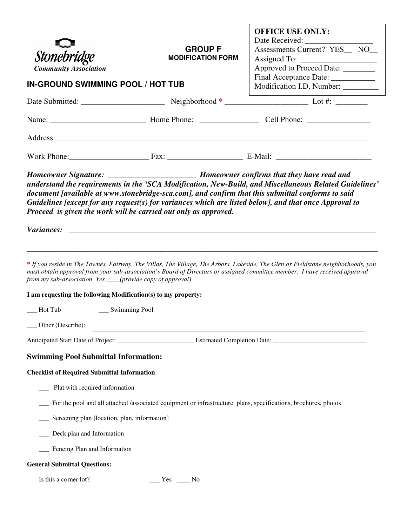|                                                                                                                             |                                                                                                                 | <b>OFFICE USE ONLY:</b><br>Date Received:<br>Assessments Current? YES_NO_<br>Approved to Proceed Date: ________                                                                                                                                                |  |
|-----------------------------------------------------------------------------------------------------------------------------|-----------------------------------------------------------------------------------------------------------------|----------------------------------------------------------------------------------------------------------------------------------------------------------------------------------------------------------------------------------------------------------------|--|
| Stonebridge<br><b>Community Association</b>                                                                                 | <b>GROUP F</b><br><b>MODIFICATION FORM</b>                                                                      |                                                                                                                                                                                                                                                                |  |
|                                                                                                                             |                                                                                                                 |                                                                                                                                                                                                                                                                |  |
|                                                                                                                             |                                                                                                                 | Final Acceptance Date: ____________                                                                                                                                                                                                                            |  |
| IN-GROUND SWIMMING POOL / HOT TUB                                                                                           |                                                                                                                 | Modification I.D. Number: _________                                                                                                                                                                                                                            |  |
|                                                                                                                             |                                                                                                                 |                                                                                                                                                                                                                                                                |  |
|                                                                                                                             |                                                                                                                 |                                                                                                                                                                                                                                                                |  |
|                                                                                                                             |                                                                                                                 |                                                                                                                                                                                                                                                                |  |
|                                                                                                                             |                                                                                                                 |                                                                                                                                                                                                                                                                |  |
| Proceed is given the work will be carried out only as approved.                                                             | document [available at www.stonebridge-sca.com], and confirm that this submittal conforms to said               | understand the requirements in the 'SCA Modification, New-Build, and Miscellaneous Related Guidelines'<br>Guidelines [except for any request(s) for variances which are listed below], and that once Approval to                                               |  |
| <i>Variances:</i>                                                                                                           |                                                                                                                 |                                                                                                                                                                                                                                                                |  |
| from my sub-association. Yes ___(provide copy of approval)<br>I am requesting the following Modification(s) to my property: |                                                                                                                 | * If you reside in The Townes, Fairway, The Villas, The Village, The Arbors, Lakeside, The Glen or Fieldstone neighborhoods, you<br>must obtain approval from your sub-association's Board of Directors or assigned committee member. I have received approval |  |
| $\_\_\$ Hot Tub<br>__ Swimming Pool                                                                                         |                                                                                                                 |                                                                                                                                                                                                                                                                |  |
| __ Other (Describe):                                                                                                        | <u> 1989 - Johann Barn, fransk politik (d. 1989)</u>                                                            |                                                                                                                                                                                                                                                                |  |
|                                                                                                                             |                                                                                                                 |                                                                                                                                                                                                                                                                |  |
| <b>Swimming Pool Submittal Information:</b>                                                                                 |                                                                                                                 |                                                                                                                                                                                                                                                                |  |
| <b>Checklist of Required Submittal Information</b>                                                                          |                                                                                                                 |                                                                                                                                                                                                                                                                |  |
| __ Plat with required information                                                                                           |                                                                                                                 |                                                                                                                                                                                                                                                                |  |
|                                                                                                                             | For the pool and all attached /associated equipment or infrastructure. plans, specifications, brochures, photos |                                                                                                                                                                                                                                                                |  |
| Screening plan [location, plan, information]                                                                                |                                                                                                                 |                                                                                                                                                                                                                                                                |  |
| Deck plan and Information                                                                                                   |                                                                                                                 |                                                                                                                                                                                                                                                                |  |
| __ Fencing Plan and Information                                                                                             |                                                                                                                 |                                                                                                                                                                                                                                                                |  |
| <b>General Submittal Questions:</b>                                                                                         |                                                                                                                 |                                                                                                                                                                                                                                                                |  |
| Is this a corner lot?                                                                                                       | $\frac{Yes}{Y}$ No                                                                                              |                                                                                                                                                                                                                                                                |  |